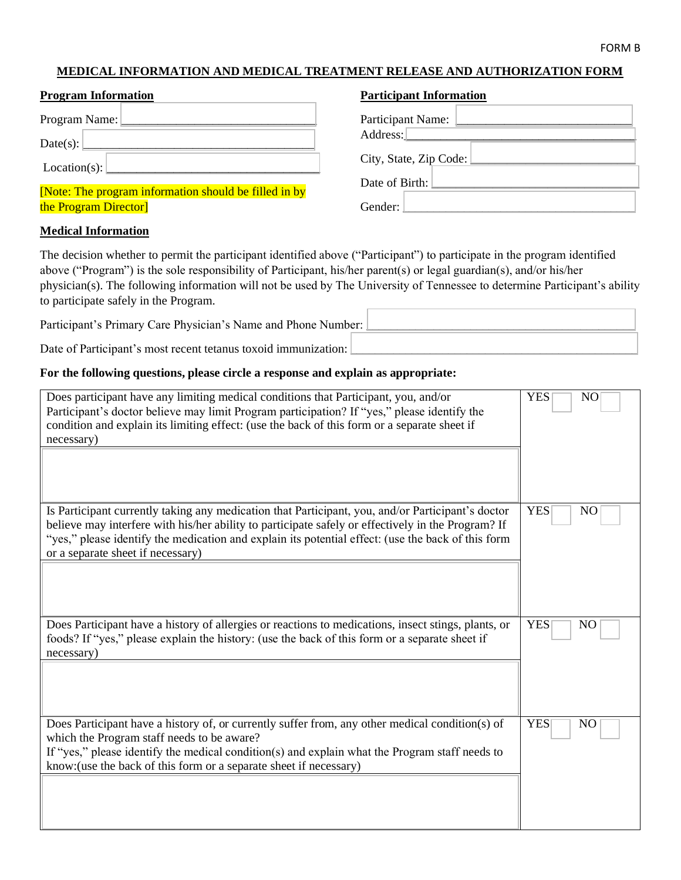#### FORM B

# **MEDICAL INFORMATION AND MEDICAL TREATMENT RELEASE AND AUTHORIZATION FORM**

| <b>Program Information</b>                            | <b>Participant Information</b>                    |
|-------------------------------------------------------|---------------------------------------------------|
| Program Name: <u>Denomination</u>                     | Participant Name:                                 |
| Date(s):                                              | Address:                                          |
| Location(s):                                          | $City, State, Zip Code: \n\boxed{\qquad \qquad }$ |
| [Note: The program information should be filled in by | Date of Birth:                                    |
| the Program Director                                  | Gender:                                           |

# **Medical Information**

The decision whether to permit the participant identified above ("Participant") to participate in the program identified above ("Program") is the sole responsibility of Participant, his/her parent(s) or legal guardian(s), and/or his/her physician(s). The following information will not be used by The University of Tennessee to determine Participant's ability to participate safely in the Program.

Participant's Primary Care Physician's Name and Phone Number: Date of Participant's most recent tetanus toxoid immunization:

### **For the following questions, please circle a response and explain as appropriate:**

| Does participant have any limiting medical conditions that Participant, you, and/or<br>Participant's doctor believe may limit Program participation? If "yes," please identify the<br>condition and explain its limiting effect: (use the back of this form or a separate sheet if<br>necessary)                                                   | <b>YES</b><br>N <sub>O</sub> |
|----------------------------------------------------------------------------------------------------------------------------------------------------------------------------------------------------------------------------------------------------------------------------------------------------------------------------------------------------|------------------------------|
| Is Participant currently taking any medication that Participant, you, and/or Participant's doctor<br>believe may interfere with his/her ability to participate safely or effectively in the Program? If<br>"yes," please identify the medication and explain its potential effect: (use the back of this form<br>or a separate sheet if necessary) | <b>YES</b><br>N <sub>O</sub> |
| Does Participant have a history of allergies or reactions to medications, insect stings, plants, or<br>foods? If "yes," please explain the history: (use the back of this form or a separate sheet if<br>necessary)                                                                                                                                | <b>YES</b><br>N <sub>O</sub> |
| Does Participant have a history of, or currently suffer from, any other medical condition(s) of<br>which the Program staff needs to be aware?<br>If "yes," please identify the medical condition(s) and explain what the Program staff needs to<br>know: (use the back of this form or a separate sheet if necessary)                              | <b>YES</b><br>N <sub>O</sub> |